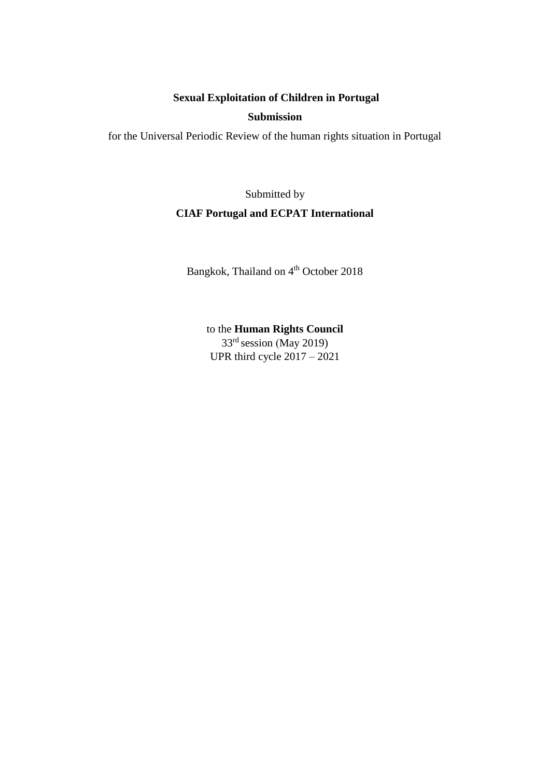## **Sexual Exploitation of Children in Portugal**

## **Submission**

for the Universal Periodic Review of the human rights situation in Portugal

# Submitted by **CIAF Portugal and ECPAT International**

Bangkok, Thailand on 4<sup>th</sup> October 2018

to the **Human Rights Council** 33rd session (May 2019) UPR third cycle 2017 – 2021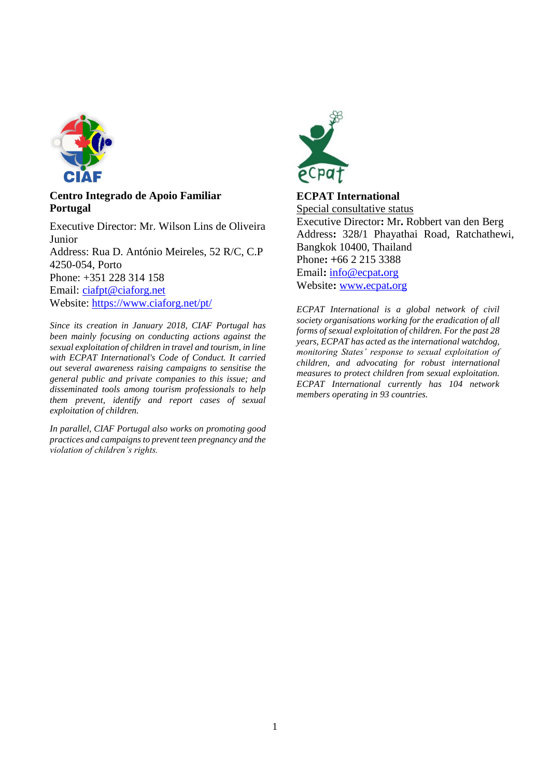

## **Centro Integrado de Apoio Familiar Portugal**

Executive Director: Mr. Wilson Lins de Oliveira Junior Address: Rua D. António Meireles, 52 R/C, C.P 4250-054, Porto Phone: +351 228 314 158 Email: [ciafpt@ciaforg.net](mailto:ciafpt@ciaforg.net) Website:<https://www.ciaforg.net/pt/>

*Since its creation in January 2018, CIAF Portugal has been mainly focusing on conducting actions against the sexual exploitation of children in travel and tourism, in line with ECPAT International's Code of Conduct. It carried out several awareness raising campaigns to sensitise the general public and private companies to this issue; and disseminated tools among tourism professionals to help them prevent, identify and report cases of sexual exploitation of children.* 

*In parallel, CIAF Portugal also works on promoting good practices and campaigns to prevent teen pregnancy and the violation of children's rights.*



## **ECPAT International**

Special consultative status Executive Director**:** Mr**.** Robbert van den Berg Address**:** 328**/**1 Phayathai Road, Ratchathewi, Bangkok 10400, Thailand Phone**: +**66 2 215 3388 Email**:** [info@ecpat](mailto:info@ecpat.org)**.**org Website**:** [www](http://www.ecpat.org/)**.**ecpat**.**org

*ECPAT International is a global network of civil society organisations working for the eradication of all forms of sexual exploitation of children. For the past 28 years, ECPAT has acted as the international watchdog, monitoring States' response to sexual exploitation of children, and advocating for robust international measures to protect children from sexual exploitation. ECPAT International currently has 104 network members operating in 93 countries.*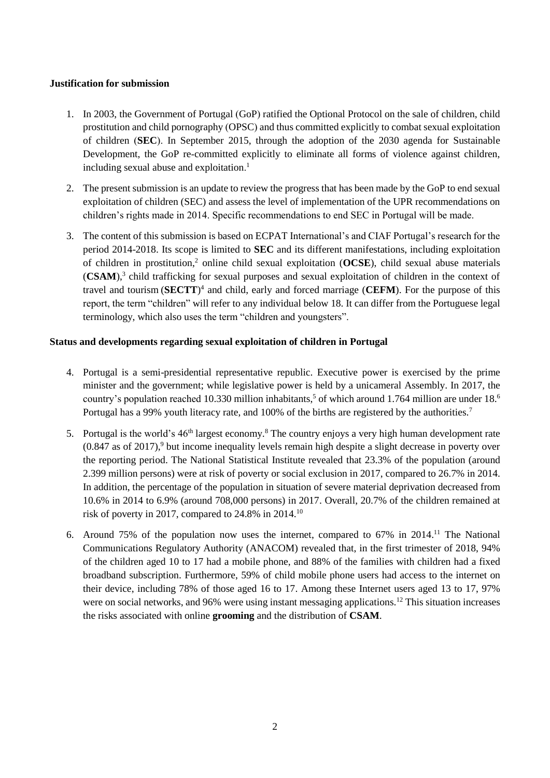## **Justification for submission**

- 1. In 2003, the Government of Portugal (GoP) ratified the Optional Protocol on the sale of children, child prostitution and child pornography (OPSC) and thus committed explicitly to combat sexual exploitation of children (**SEC**). In September 2015, through the adoption of the 2030 agenda for Sustainable Development, the GoP re-committed explicitly to eliminate all forms of violence against children, including sexual abuse and exploitation. 1
- 2. The present submission is an update to review the progress that has been made by the GoP to end sexual exploitation of children (SEC) and assess the level of implementation of the UPR recommendations on children's rights made in 2014. Specific recommendations to end SEC in Portugal will be made.
- 3. The content of this submission is based on ECPAT International's and CIAF Portugal's research for the period 2014-2018. Its scope is limited to **SEC** and its different manifestations, including exploitation of children in prostitution,<sup>2</sup> online child sexual exploitation (**OCSE**), child sexual abuse materials (CSAM),<sup>3</sup> child trafficking for sexual purposes and sexual exploitation of children in the context of travel and tourism (**SECTT**) 4 and child, early and forced marriage (**CEFM**). For the purpose of this report, the term "children" will refer to any individual below 18. It can differ from the Portuguese legal terminology, which also uses the term "children and youngsters".

## **Status and developments regarding sexual exploitation of children in Portugal**

- 4. Portugal is a semi-presidential representative republic. Executive power is exercised by the prime minister and the government; while legislative power is held by a unicameral Assembly. In 2017, the country's population reached 10.330 million inhabitants,<sup>5</sup> of which around 1.764 million are under 18.<sup>6</sup> Portugal has a 99% youth literacy rate, and 100% of the births are registered by the authorities.<sup>7</sup>
- 5. Portugal is the world's 46<sup>th</sup> largest economy.<sup>8</sup> The country enjoys a very high human development rate  $(0.847$  as of 2017),<sup>9</sup> but income inequality levels remain high despite a slight decrease in poverty over the reporting period. The National Statistical Institute revealed that 23.3% of the population (around 2.399 million persons) were at risk of poverty or social exclusion in 2017, compared to 26.7% in 2014. In addition, the percentage of the population in situation of severe material deprivation decreased from 10.6% in 2014 to 6.9% (around 708,000 persons) in 2017. Overall, 20.7% of the children remained at risk of poverty in 2017, compared to 24.8% in 2014.<sup>10</sup>
- 6. Around 75% of the population now uses the internet, compared to 67% in 2014.<sup>11</sup> The National Communications Regulatory Authority (ANACOM) revealed that, in the first trimester of 2018, 94% of the children aged 10 to 17 had a mobile phone, and 88% of the families with children had a fixed broadband subscription. Furthermore, 59% of child mobile phone users had access to the internet on their device, including 78% of those aged 16 to 17. Among these Internet users aged 13 to 17, 97% were on social networks, and 96% were using instant messaging applications.<sup>12</sup> This situation increases the risks associated with online **grooming** and the distribution of **CSAM**.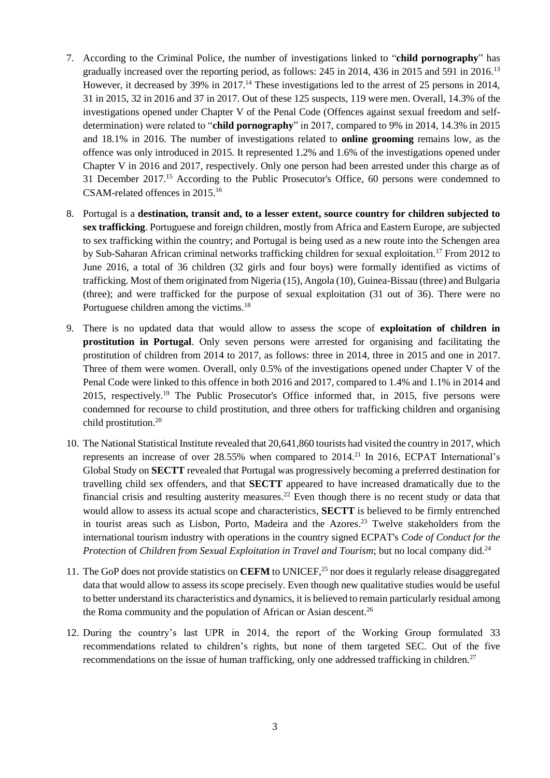- 7. According to the Criminal Police, the number of investigations linked to "**child pornography**" has gradually increased over the reporting period, as follows: 245 in 2014, 436 in 2015 and 591 in 2016.<sup>13</sup> However, it decreased by 39% in 2017.<sup>14</sup> These investigations led to the arrest of 25 persons in 2014, 31 in 2015, 32 in 2016 and 37 in 2017. Out of these 125 suspects, 119 were men. Overall, 14.3% of the investigations opened under Chapter V of the Penal Code (Offences against sexual freedom and selfdetermination) were related to "**child pornography**" in 2017, compared to 9% in 2014, 14.3% in 2015 and 18.1% in 2016. The number of investigations related to **online grooming** remains low, as the offence was only introduced in 2015. It represented 1.2% and 1.6% of the investigations opened under Chapter V in 2016 and 2017, respectively. Only one person had been arrested under this charge as of 31 December 2017. <sup>15</sup> According to the Public Prosecutor's Office, 60 persons were condemned to CSAM-related offences in 2015.<sup>16</sup>
- 8. Portugal is a **destination, transit and, to a lesser extent, source country for children subjected to sex trafficking**. Portuguese and foreign children, mostly from Africa and Eastern Europe, are subjected to sex trafficking within the country; and Portugal is being used as a new route into the Schengen area by Sub-Saharan African criminal networks trafficking children for sexual exploitation.<sup>17</sup> From 2012 to June 2016, a total of 36 children (32 girls and four boys) were formally identified as victims of trafficking. Most of them originated from Nigeria (15), Angola (10), Guinea-Bissau (three) and Bulgaria (three); and were trafficked for the purpose of sexual exploitation (31 out of 36). There were no Portuguese children among the victims.<sup>18</sup>
- 9. There is no updated data that would allow to assess the scope of **exploitation of children in prostitution in Portugal**. Only seven persons were arrested for organising and facilitating the prostitution of children from 2014 to 2017, as follows: three in 2014, three in 2015 and one in 2017. Three of them were women. Overall, only 0.5% of the investigations opened under Chapter V of the Penal Code were linked to this offence in both 2016 and 2017, compared to 1.4% and 1.1% in 2014 and 2015, respectively.<sup>19</sup> The Public Prosecutor's Office informed that, in 2015, five persons were condemned for recourse to child prostitution, and three others for trafficking children and organising child prostitution.<sup>20</sup>
- 10. The National Statistical Institute revealed that 20,641,860 tourists had visited the country in 2017, which represents an increase of over  $28.55\%$  when compared to  $2014.<sup>21</sup>$  In  $2016$ , ECPAT International's Global Study on **SECTT** revealed that Portugal was progressively becoming a preferred destination for travelling child sex offenders, and that **SECTT** appeared to have increased dramatically due to the financial crisis and resulting austerity measures.<sup>22</sup> Even though there is no recent study or data that would allow to assess its actual scope and characteristics, **SECTT** is believed to be firmly entrenched in tourist areas such as Lisbon, Porto, Madeira and the Azores. <sup>23</sup> Twelve stakeholders from the international tourism industry with operations in the country signed ECPAT's *Code of Conduct for the Protection* of *Children from Sexual Exploitation in Travel and Tourism*; but no local company did.<sup>24</sup>
- 11. The GoP does not provide statistics on **CEFM** to UNICEF,<sup>25</sup> nor does it regularly release disaggregated data that would allow to assess its scope precisely. Even though new qualitative studies would be useful to better understand its characteristics and dynamics, it is believed to remain particularly residual among the Roma community and the population of African or Asian descent.<sup>26</sup>
- 12. During the country's last UPR in 2014, the report of the Working Group formulated 33 recommendations related to children's rights, but none of them targeted SEC. Out of the five recommendations on the issue of human trafficking, only one addressed trafficking in children.<sup>27</sup>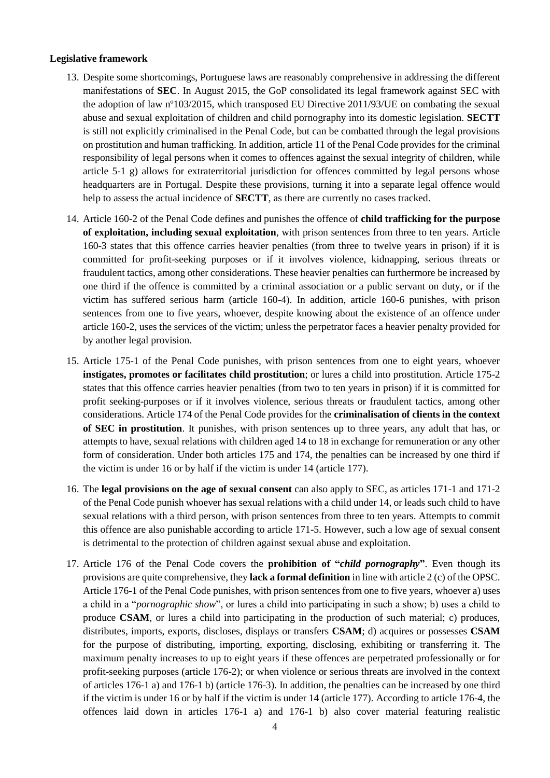#### **Legislative framework**

- 13. Despite some shortcomings, Portuguese laws are reasonably comprehensive in addressing the different manifestations of **SEC**. In August 2015, the GoP consolidated its legal framework against SEC with the adoption of law nº103/2015, which transposed EU Directive 2011/93/UE on combating the sexual abuse and sexual exploitation of children and child pornography into its domestic legislation. **SECTT** is still not explicitly criminalised in the Penal Code, but can be combatted through the legal provisions on prostitution and human trafficking. In addition, article 11 of the Penal Code provides for the criminal responsibility of legal persons when it comes to offences against the sexual integrity of children, while article 5-1 g) allows for extraterritorial jurisdiction for offences committed by legal persons whose headquarters are in Portugal. Despite these provisions, turning it into a separate legal offence would help to assess the actual incidence of **SECTT**, as there are currently no cases tracked.
- 14. Article 160-2 of the Penal Code defines and punishes the offence of **child trafficking for the purpose of exploitation, including sexual exploitation**, with prison sentences from three to ten years. Article 160-3 states that this offence carries heavier penalties (from three to twelve years in prison) if it is committed for profit-seeking purposes or if it involves violence, kidnapping, serious threats or fraudulent tactics, among other considerations. These heavier penalties can furthermore be increased by one third if the offence is committed by a criminal association or a public servant on duty, or if the victim has suffered serious harm (article 160-4). In addition, article 160-6 punishes, with prison sentences from one to five years, whoever, despite knowing about the existence of an offence under article 160-2, uses the services of the victim; unless the perpetrator faces a heavier penalty provided for by another legal provision.
- 15. Article 175-1 of the Penal Code punishes, with prison sentences from one to eight years, whoever **instigates, promotes or facilitates child prostitution**; or lures a child into prostitution. Article 175-2 states that this offence carries heavier penalties (from two to ten years in prison) if it is committed for profit seeking-purposes or if it involves violence, serious threats or fraudulent tactics, among other considerations. Article 174 of the Penal Code provides for the **criminalisation of clients in the context of SEC in prostitution**. It punishes, with prison sentences up to three years, any adult that has, or attempts to have, sexual relations with children aged 14 to 18 in exchange for remuneration or any other form of consideration. Under both articles 175 and 174, the penalties can be increased by one third if the victim is under 16 or by half if the victim is under 14 (article 177).
- 16. The **legal provisions on the age of sexual consent** can also apply to SEC, as articles 171-1 and 171-2 of the Penal Code punish whoever has sexual relations with a child under 14, or leads such child to have sexual relations with a third person, with prison sentences from three to ten years. Attempts to commit this offence are also punishable according to article 171-5. However, such a low age of sexual consent is detrimental to the protection of children against sexual abuse and exploitation.
- 17. Article 176 of the Penal Code covers the **prohibition of "***child pornography***"**. Even though its provisions are quite comprehensive, they **lack a formal definition** in line with article 2 (c) of the OPSC. Article 176-1 of the Penal Code punishes, with prison sentences from one to five years, whoever a) uses a child in a "*pornographic show*", or lures a child into participating in such a show; b) uses a child to produce **CSAM**, or lures a child into participating in the production of such material; c) produces, distributes, imports, exports, discloses, displays or transfers **CSAM**; d) acquires or possesses **CSAM** for the purpose of distributing, importing, exporting, disclosing, exhibiting or transferring it. The maximum penalty increases to up to eight years if these offences are perpetrated professionally or for profit-seeking purposes (article 176-2); or when violence or serious threats are involved in the context of articles 176-1 a) and 176-1 b) (article 176-3). In addition, the penalties can be increased by one third if the victim is under 16 or by half if the victim is under 14 (article 177). According to article 176-4, the offences laid down in articles 176-1 a) and 176-1 b) also cover material featuring realistic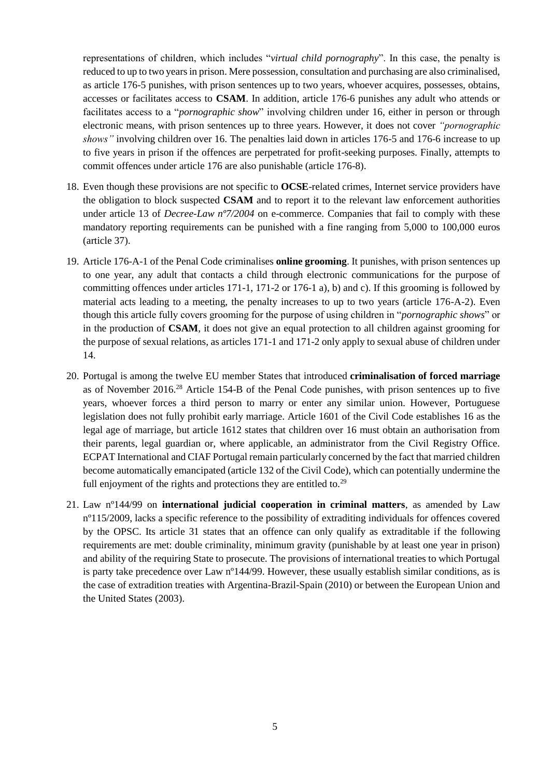representations of children, which includes "*virtual child pornography*". In this case, the penalty is reduced to up to two years in prison. Mere possession, consultation and purchasing are also criminalised, as article 176-5 punishes, with prison sentences up to two years, whoever acquires, possesses, obtains, accesses or facilitates access to **CSAM**. In addition, article 176-6 punishes any adult who attends or facilitates access to a "*pornographic show*" involving children under 16, either in person or through electronic means, with prison sentences up to three years. However, it does not cover *"pornographic shows"* involving children over 16. The penalties laid down in articles 176-5 and 176-6 increase to up to five years in prison if the offences are perpetrated for profit-seeking purposes. Finally, attempts to commit offences under article 176 are also punishable (article 176-8).

- 18. Even though these provisions are not specific to **OCSE**-related crimes, Internet service providers have the obligation to block suspected **CSAM** and to report it to the relevant law enforcement authorities under article 13 of *Decree-Law nº7/2004* on e-commerce. Companies that fail to comply with these mandatory reporting requirements can be punished with a fine ranging from 5,000 to 100,000 euros (article 37).
- 19. Article 176-A-1 of the Penal Code criminalises **online grooming**. It punishes, with prison sentences up to one year, any adult that contacts a child through electronic communications for the purpose of committing offences under articles 171-1, 171-2 or 176-1 a), b) and c). If this grooming is followed by material acts leading to a meeting, the penalty increases to up to two years (article 176-A-2). Even though this article fully covers grooming for the purpose of using children in "*pornographic shows*" or in the production of **CSAM**, it does not give an equal protection to all children against grooming for the purpose of sexual relations, as articles 171-1 and 171-2 only apply to sexual abuse of children under 14.
- 20. Portugal is among the twelve EU member States that introduced **criminalisation of forced marriage** as of November 2016.<sup>28</sup> Article 154-B of the Penal Code punishes, with prison sentences up to five years, whoever forces a third person to marry or enter any similar union. However, Portuguese legislation does not fully prohibit early marriage. Article 1601 of the Civil Code establishes 16 as the legal age of marriage, but article 1612 states that children over 16 must obtain an authorisation from their parents, legal guardian or, where applicable, an administrator from the Civil Registry Office. ECPAT International and CIAF Portugal remain particularly concerned by the fact that married children become automatically emancipated (article 132 of the Civil Code), which can potentially undermine the full enjoyment of the rights and protections they are entitled to.<sup>29</sup>
- 21. Law nº144/99 on **international judicial cooperation in criminal matters**, as amended by Law nº115/2009, lacks a specific reference to the possibility of extraditing individuals for offences covered by the OPSC. Its article 31 states that an offence can only qualify as extraditable if the following requirements are met: double criminality, minimum gravity (punishable by at least one year in prison) and ability of the requiring State to prosecute. The provisions of international treaties to which Portugal is party take precedence over Law nº144/99. However, these usually establish similar conditions, as is the case of extradition treaties with Argentina-Brazil-Spain (2010) or between the European Union and the United States (2003).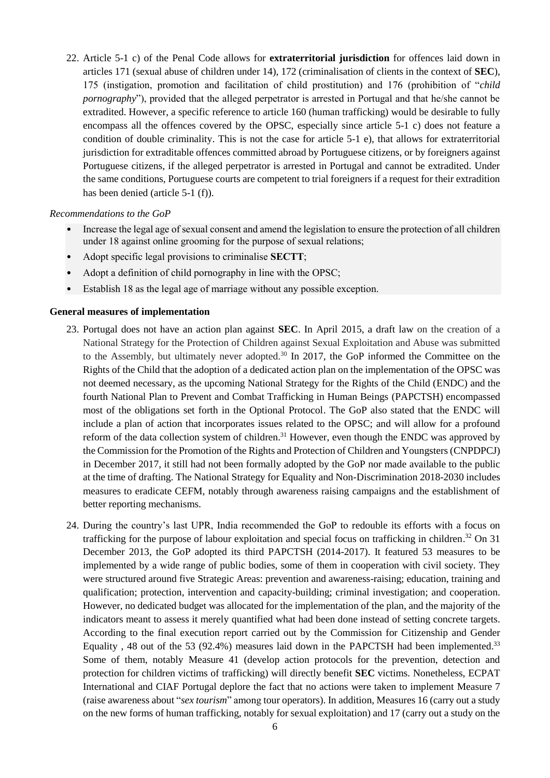22. Article 5-1 c) of the Penal Code allows for **extraterritorial jurisdiction** for offences laid down in articles 171 (sexual abuse of children under 14), 172 (criminalisation of clients in the context of **SEC**), 175 (instigation, promotion and facilitation of child prostitution) and 176 (prohibition of "*child pornography*"), provided that the alleged perpetrator is arrested in Portugal and that he/she cannot be extradited. However, a specific reference to article 160 (human trafficking) would be desirable to fully encompass all the offences covered by the OPSC, especially since article 5-1 c) does not feature a condition of double criminality. This is not the case for article 5-1 e), that allows for extraterritorial jurisdiction for extraditable offences committed abroad by Portuguese citizens, or by foreigners against Portuguese citizens, if the alleged perpetrator is arrested in Portugal and cannot be extradited. Under the same conditions, Portuguese courts are competent to trial foreigners if a request for their extradition has been denied (article 5-1 (f)).

#### *Recommendations to the GoP*

- Increase the legal age of sexual consent and amend the legislation to ensure the protection of all children under 18 against online grooming for the purpose of sexual relations;
- Adopt specific legal provisions to criminalise **SECTT**;
- Adopt a definition of child pornography in line with the OPSC;
- Establish 18 as the legal age of marriage without any possible exception.

#### **General measures of implementation**

- 23. Portugal does not have an action plan against **SEC**. In April 2015, a draft law on the creation of a National Strategy for the Protection of Children against Sexual Exploitation and Abuse was submitted to the Assembly, but ultimately never adopted.<sup>30</sup> In 2017, the GoP informed the Committee on the Rights of the Child that the adoption of a dedicated action plan on the implementation of the OPSC was not deemed necessary, as the upcoming National Strategy for the Rights of the Child (ENDC) and the fourth National Plan to Prevent and Combat Trafficking in Human Beings (PAPCTSH) encompassed most of the obligations set forth in the Optional Protocol. The GoP also stated that the ENDC will include a plan of action that incorporates issues related to the OPSC; and will allow for a profound reform of the data collection system of children.<sup>31</sup> However, even though the ENDC was approved by the Commission for the Promotion of the Rights and Protection of Children and Youngsters (CNPDPCJ) in December 2017, it still had not been formally adopted by the GoP nor made available to the public at the time of drafting. The National Strategy for Equality and Non-Discrimination 2018-2030 includes measures to eradicate CEFM, notably through awareness raising campaigns and the establishment of better reporting mechanisms.
- 24. During the country's last UPR, India recommended the GoP to redouble its efforts with a focus on trafficking for the purpose of labour exploitation and special focus on trafficking in children.<sup>32</sup> On 31 December 2013, the GoP adopted its third PAPCTSH (2014-2017). It featured 53 measures to be implemented by a wide range of public bodies, some of them in cooperation with civil society. They were structured around five Strategic Areas: prevention and awareness-raising; education, training and qualification; protection, intervention and capacity-building; criminal investigation; and cooperation. However, no dedicated budget was allocated for the implementation of the plan, and the majority of the indicators meant to assess it merely quantified what had been done instead of setting concrete targets. According to the final execution report carried out by the Commission for Citizenship and Gender Equality, 48 out of the 53 (92.4%) measures laid down in the PAPCTSH had been implemented.<sup>33</sup> Some of them, notably Measure 41 (develop action protocols for the prevention, detection and protection for children victims of trafficking) will directly benefit **SEC** victims. Nonetheless, ECPAT International and CIAF Portugal deplore the fact that no actions were taken to implement Measure 7 (raise awareness about "*sex tourism*" among tour operators). In addition, Measures 16 (carry out a study on the new forms of human trafficking, notably for sexual exploitation) and 17 (carry out a study on the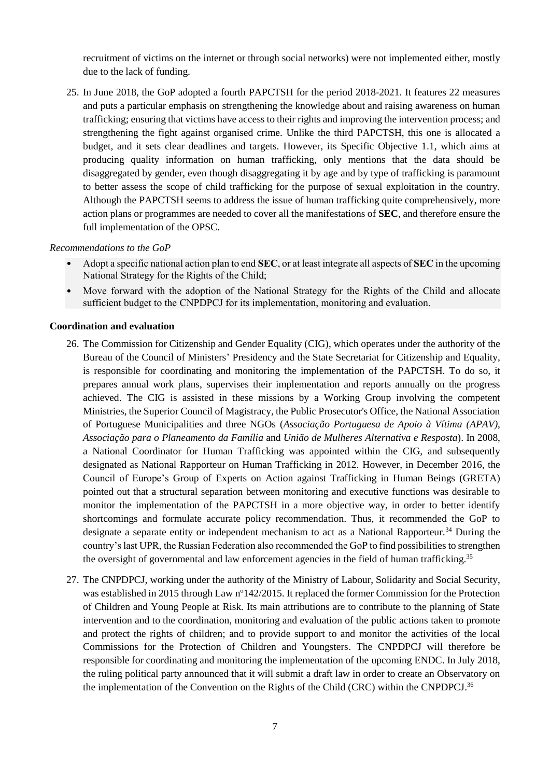recruitment of victims on the internet or through social networks) were not implemented either, mostly due to the lack of funding.

25. In June 2018, the GoP adopted a fourth PAPCTSH for the period 2018-2021. It features 22 measures and puts a particular emphasis on strengthening the knowledge about and raising awareness on human trafficking; ensuring that victims have access to their rights and improving the intervention process; and strengthening the fight against organised crime. Unlike the third PAPCTSH, this one is allocated a budget, and it sets clear deadlines and targets. However, its Specific Objective 1.1, which aims at producing quality information on human trafficking, only mentions that the data should be disaggregated by gender, even though disaggregating it by age and by type of trafficking is paramount to better assess the scope of child trafficking for the purpose of sexual exploitation in the country. Although the PAPCTSH seems to address the issue of human trafficking quite comprehensively, more action plans or programmes are needed to cover all the manifestations of **SEC**, and therefore ensure the full implementation of the OPSC.

#### *Recommendations to the GoP*

- Adopt a specific national action plan to end **SEC**, or at least integrate all aspects of **SEC** in the upcoming National Strategy for the Rights of the Child;
- Move forward with the adoption of the National Strategy for the Rights of the Child and allocate sufficient budget to the CNPDPCJ for its implementation, monitoring and evaluation.

#### **Coordination and evaluation**

- 26. The Commission for Citizenship and Gender Equality (CIG), which operates under the authority of the Bureau of the Council of Ministers' Presidency and the State Secretariat for Citizenship and Equality, is responsible for coordinating and monitoring the implementation of the PAPCTSH. To do so, it prepares annual work plans, supervises their implementation and reports annually on the progress achieved. The CIG is assisted in these missions by a Working Group involving the competent Ministries, the Superior Council of Magistracy, the Public Prosecutor's Office, the National Association of Portuguese Municipalities and three NGOs (*Associação Portuguesa de Apoio à Vítima (APAV)*, *Associação para o Planeamento da Família* and *União de Mulheres Alternativa e Resposta*). In 2008, a National Coordinator for Human Trafficking was appointed within the CIG, and subsequently designated as National Rapporteur on Human Trafficking in 2012. However, in December 2016, the Council of Europe's Group of Experts on Action against Trafficking in Human Beings (GRETA) pointed out that a structural separation between monitoring and executive functions was desirable to monitor the implementation of the PAPCTSH in a more objective way, in order to better identify shortcomings and formulate accurate policy recommendation. Thus, it recommended the GoP to designate a separate entity or independent mechanism to act as a National Rapporteur.<sup>34</sup> During the country's last UPR, the Russian Federation also recommended the GoP to find possibilities to strengthen the oversight of governmental and law enforcement agencies in the field of human trafficking.<sup>35</sup>
- 27. The CNPDPCJ, working under the authority of the Ministry of Labour, Solidarity and Social Security, was established in 2015 through Law n°142/2015. It replaced the former Commission for the Protection of Children and Young People at Risk. Its main attributions are to contribute to the planning of State intervention and to the coordination, monitoring and evaluation of the public actions taken to promote and protect the rights of children; and to provide support to and monitor the activities of the local Commissions for the Protection of Children and Youngsters. The CNPDPCJ will therefore be responsible for coordinating and monitoring the implementation of the upcoming ENDC. In July 2018, the ruling political party announced that it will submit a draft law in order to create an Observatory on the implementation of the Convention on the Rights of the Child (CRC) within the CNPDPCJ.<sup>36</sup>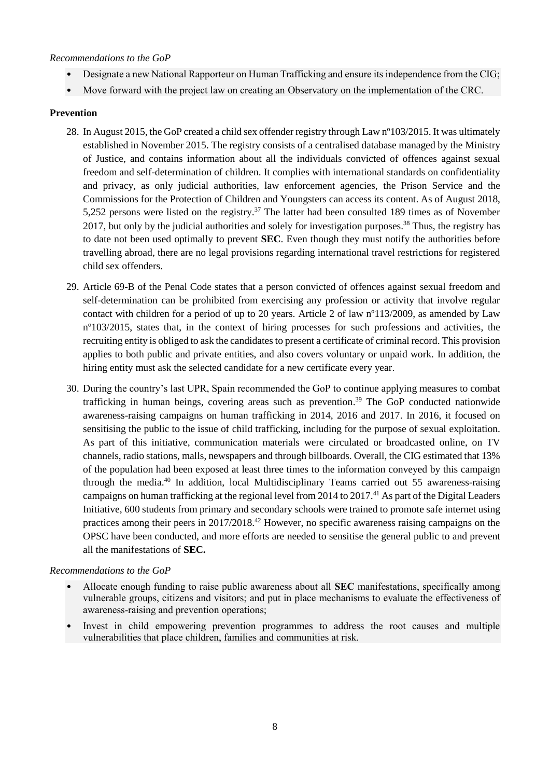## *Recommendations to the GoP*

- Designate a new National Rapporteur on Human Trafficking and ensure its independence from the CIG;
- Move forward with the project law on creating an Observatory on the implementation of the CRC.

## **Prevention**

- 28. In August 2015, the GoP created a child sex offender registry through Law nº103/2015. It was ultimately established in November 2015. The registry consists of a centralised database managed by the Ministry of Justice, and contains information about all the individuals convicted of offences against sexual freedom and self-determination of children. It complies with international standards on confidentiality and privacy, as only judicial authorities, law enforcement agencies, the Prison Service and the Commissions for the Protection of Children and Youngsters can access its content. As of August 2018, 5,252 persons were listed on the registry.<sup>37</sup> The latter had been consulted 189 times as of November 2017, but only by the judicial authorities and solely for investigation purposes.<sup>38</sup> Thus, the registry has to date not been used optimally to prevent **SEC**. Even though they must notify the authorities before travelling abroad, there are no legal provisions regarding international travel restrictions for registered child sex offenders.
- 29. Article 69-B of the Penal Code states that a person convicted of offences against sexual freedom and self-determination can be prohibited from exercising any profession or activity that involve regular contact with children for a period of up to 20 years. Article 2 of law nº113/2009, as amended by Law nº103/2015, states that, in the context of hiring processes for such professions and activities, the recruiting entity is obliged to ask the candidates to present a certificate of criminal record. This provision applies to both public and private entities, and also covers voluntary or unpaid work. In addition, the hiring entity must ask the selected candidate for a new certificate every year.
- 30. During the country's last UPR, Spain recommended the GoP to continue applying measures to combat trafficking in human beings, covering areas such as prevention. <sup>39</sup> The GoP conducted nationwide awareness-raising campaigns on human trafficking in 2014, 2016 and 2017. In 2016, it focused on sensitising the public to the issue of child trafficking, including for the purpose of sexual exploitation. As part of this initiative, communication materials were circulated or broadcasted online, on TV channels, radio stations, malls, newspapers and through billboards. Overall, the CIG estimated that 13% of the population had been exposed at least three times to the information conveyed by this campaign through the media.<sup>40</sup> In addition, local Multidisciplinary Teams carried out 55 awareness-raising campaigns on human trafficking at the regional level from 2014 to 2017.<sup>41</sup> As part of the Digital Leaders Initiative, 600 students from primary and secondary schools were trained to promote safe internet using practices among their peers in 2017/2018.<sup>42</sup> However, no specific awareness raising campaigns on the OPSC have been conducted, and more efforts are needed to sensitise the general public to and prevent all the manifestations of **SEC.**

#### *Recommendations to the GoP*

- Allocate enough funding to raise public awareness about all **SEC** manifestations, specifically among vulnerable groups, citizens and visitors; and put in place mechanisms to evaluate the effectiveness of awareness-raising and prevention operations;
- Invest in child empowering prevention programmes to address the root causes and multiple vulnerabilities that place children, families and communities at risk.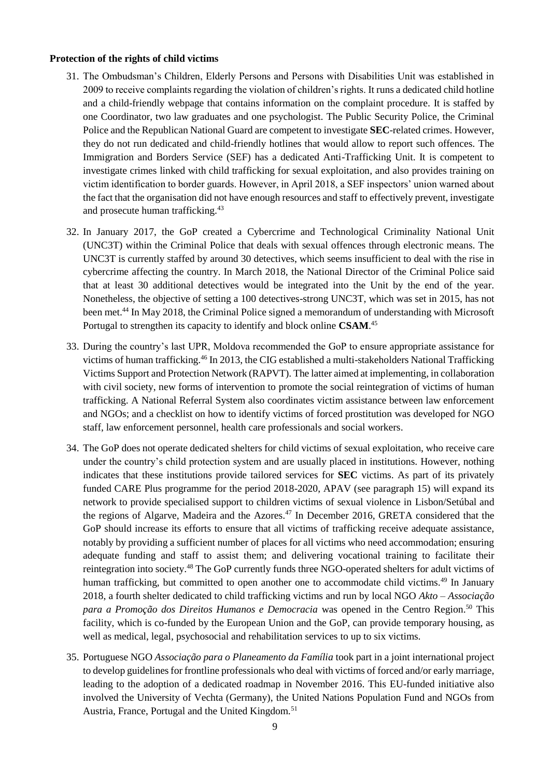#### **Protection of the rights of child victims**

- 31. The Ombudsman's Children, Elderly Persons and Persons with Disabilities Unit was established in 2009 to receive complaints regarding the violation of children's rights. It runs a dedicated child hotline and a child-friendly webpage that contains information on the complaint procedure. It is staffed by one Coordinator, two law graduates and one psychologist. The Public Security Police, the Criminal Police and the Republican National Guard are competent to investigate **SEC**-related crimes. However, they do not run dedicated and child-friendly hotlines that would allow to report such offences. The Immigration and Borders Service (SEF) has a dedicated Anti-Trafficking Unit. It is competent to investigate crimes linked with child trafficking for sexual exploitation, and also provides training on victim identification to border guards. However, in April 2018, a SEF inspectors' union warned about the fact that the organisation did not have enough resources and staff to effectively prevent, investigate and prosecute human trafficking.<sup>43</sup>
- 32. In January 2017, the GoP created a Cybercrime and Technological Criminality National Unit (UNC3T) within the Criminal Police that deals with sexual offences through electronic means. The UNC3T is currently staffed by around 30 detectives, which seems insufficient to deal with the rise in cybercrime affecting the country. In March 2018, the National Director of the Criminal Police said that at least 30 additional detectives would be integrated into the Unit by the end of the year. Nonetheless, the objective of setting a 100 detectives-strong UNC3T, which was set in 2015, has not been met.<sup>44</sup> In May 2018, the Criminal Police signed a memorandum of understanding with Microsoft Portugal to strengthen its capacity to identify and block online **CSAM**. 45
- 33. During the country's last UPR, Moldova recommended the GoP to ensure appropriate assistance for victims of human trafficking.<sup>46</sup> In 2013, the CIG established a multi-stakeholders National Trafficking Victims Support and Protection Network (RAPVT). The latter aimed at implementing, in collaboration with civil society, new forms of intervention to promote the social reintegration of victims of human trafficking. A National Referral System also coordinates victim assistance between law enforcement and NGOs; and a checklist on how to identify victims of forced prostitution was developed for NGO staff, law enforcement personnel, health care professionals and social workers.
- 34. The GoP does not operate dedicated shelters for child victims of sexual exploitation, who receive care under the country's child protection system and are usually placed in institutions. However, nothing indicates that these institutions provide tailored services for **SEC** victims. As part of its privately funded CARE Plus programme for the period 2018-2020, APAV (see paragraph 15) will expand its network to provide specialised support to children victims of sexual violence in Lisbon/Setúbal and the regions of Algarve, Madeira and the Azores.<sup>47</sup> In December 2016, GRETA considered that the GoP should increase its efforts to ensure that all victims of trafficking receive adequate assistance, notably by providing a sufficient number of places for all victims who need accommodation; ensuring adequate funding and staff to assist them; and delivering vocational training to facilitate their reintegration into society.<sup>48</sup> The GoP currently funds three NGO-operated shelters for adult victims of human trafficking, but committed to open another one to accommodate child victims.<sup>49</sup> In January 2018, a fourth shelter dedicated to child trafficking victims and run by local NGO *Akto – Associação*  para a Promoção dos Direitos Humanos e Democracia was opened in the Centro Region.<sup>50</sup> This facility, which is co-funded by the European Union and the GoP, can provide temporary housing, as well as medical, legal, psychosocial and rehabilitation services to up to six victims.
- 35. Portuguese NGO *Associação para o Planeamento da Família* took part in a joint international project to develop guidelines for frontline professionals who deal with victims of forced and/or early marriage, leading to the adoption of a dedicated roadmap in November 2016. This EU-funded initiative also involved the University of Vechta (Germany), the United Nations Population Fund and NGOs from Austria, France, Portugal and the United Kingdom.<sup>51</sup>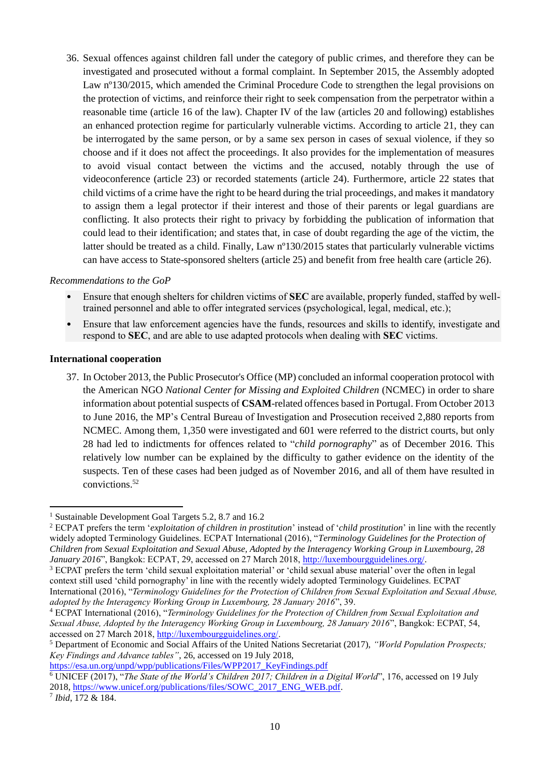36. Sexual offences against children fall under the category of public crimes, and therefore they can be investigated and prosecuted without a formal complaint. In September 2015, the Assembly adopted Law nº130/2015, which amended the Criminal Procedure Code to strengthen the legal provisions on the protection of victims, and reinforce their right to seek compensation from the perpetrator within a reasonable time (article 16 of the law). Chapter IV of the law (articles 20 and following) establishes an enhanced protection regime for particularly vulnerable victims. According to article 21, they can be interrogated by the same person, or by a same sex person in cases of sexual violence, if they so choose and if it does not affect the proceedings. It also provides for the implementation of measures to avoid visual contact between the victims and the accused, notably through the use of videoconference (article 23) or recorded statements (article 24). Furthermore, article 22 states that child victims of a crime have the right to be heard during the trial proceedings, and makes it mandatory to assign them a legal protector if their interest and those of their parents or legal guardians are conflicting. It also protects their right to privacy by forbidding the publication of information that could lead to their identification; and states that, in case of doubt regarding the age of the victim, the latter should be treated as a child. Finally, Law nº130/2015 states that particularly vulnerable victims can have access to State-sponsored shelters (article 25) and benefit from free health care (article 26).

#### *Recommendations to the GoP*

- Ensure that enough shelters for children victims of **SEC** are available, properly funded, staffed by welltrained personnel and able to offer integrated services (psychological, legal, medical, etc.);
- Ensure that law enforcement agencies have the funds, resources and skills to identify, investigate and respond to **SEC**, and are able to use adapted protocols when dealing with **SEC** victims.

#### **International cooperation**

37. In October 2013, the Public Prosecutor's Office (MP) concluded an informal cooperation protocol with the American NGO *National Center for Missing and Exploited Children* (NCMEC) in order to share information about potential suspects of **CSAM**-related offences based in Portugal. From October 2013 to June 2016, the MP's Central Bureau of Investigation and Prosecution received 2,880 reports from NCMEC. Among them, 1,350 were investigated and 601 were referred to the district courts, but only 28 had led to indictments for offences related to "*child pornography*" as of December 2016. This relatively low number can be explained by the difficulty to gather evidence on the identity of the suspects. Ten of these cases had been judged as of November 2016, and all of them have resulted in convictions. 52

[https://esa.un.org/unpd/wpp/publications/Files/WPP2017\\_KeyFindings.pdf](https://esa.un.org/unpd/wpp/publications/Files/WPP2017_KeyFindings.pdf)

 $\overline{a}$ 

<sup>&</sup>lt;sup>1</sup> Sustainable Development Goal Targets 5.2, 8.7 and 16.2

<sup>2</sup> ECPAT prefers the term '*exploitation of children in prostitution*' instead of '*child prostitution*' in line with the recently widely adopted Terminology Guidelines. ECPAT International (2016), "*Terminology Guidelines for the Protection of Children from Sexual Exploitation and Sexual Abuse, Adopted by the Interagency Working Group in Luxembourg, 28 January 2016*", Bangkok: ECPAT, 29, accessed on 27 March 2018[, http://luxembourgguidelines.org/.](http://luxembourgguidelines.org/)

<sup>3</sup> ECPAT prefers the term 'child sexual exploitation material' or 'child sexual abuse material' over the often in legal context still used 'child pornography' in line with the recently widely adopted Terminology Guidelines. ECPAT International (2016), "*Terminology Guidelines for the Protection of Children from Sexual Exploitation and Sexual Abuse, adopted by the Interagency Working Group in Luxembourg, 28 January 2016*", 39.

<sup>4</sup> ECPAT International (2016), "*Terminology Guidelines for the Protection of Children from Sexual Exploitation and Sexual Abuse, Adopted by the Interagency Working Group in Luxembourg, 28 January 2016*", Bangkok: ECPAT, 54, accessed on 27 March 2018, [http://luxembourgguidelines.org/.](http://luxembourgguidelines.org/)

<sup>5</sup> Department of Economic and Social Affairs of the United Nations Secretariat (2017), *"World Population Prospects; Key Findings and Advance tables"*, 26, accessed on 19 July 2018,

<sup>6</sup> UNICEF (2017), "*The State of the World's Children 2017; Children in a Digital World*", 176, accessed on 19 July 2018, [https://www.unicef.org/publications/files/SOWC\\_2017\\_ENG\\_WEB.pdf.](https://www.unicef.org/publications/files/SOWC_2017_ENG_WEB.pdf)

<sup>7</sup> *Ibid*, 172 & 184.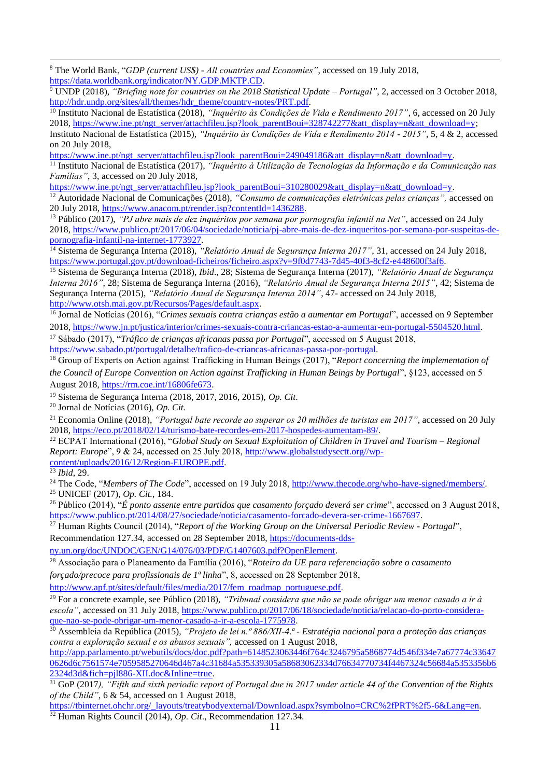**.** <sup>8</sup> The World Bank, "*GDP (current US\$) - All countries and Economies"*, accessed on 19 July 2018, [https://data.worldbank.org/indicator/NY.GDP.MKTP.CD.](https://data.worldbank.org/indicator/NY.GDP.MKTP.CD)

<sup>9</sup> UNDP (2018), *"Briefing note for countries on the 2018 Statistical Update – Portugal"*, 2, accessed on 3 October 2018, [http://hdr.undp.org/sites/all/themes/hdr\\_theme/country-notes/PRT.pdf.](http://hdr.undp.org/sites/all/themes/hdr_theme/country-notes/PRT.pdf)

<sup>10</sup> Instituto Nacional de Estatística (2018), "Inquérito às Condições de Vida e Rendimento 2017", 6, accessed on 20 July 2018, [https://www.ine.pt/ngt\\_server/attachfileu.jsp?look\\_parentBoui=328742277&att\\_display=n&att\\_download=y;](https://www.ine.pt/ngt_server/attachfileu.jsp?look_parentBoui=328742277&att_display=n&att_download=y)

Instituto Nacional de Estatística (2015), *"Inquérito às Condições de Vida e Rendimento 2014 - 2015"*, 5, 4 & 2, accessed on 20 July 2018,

[https://www.ine.pt/ngt\\_server/attachfileu.jsp?look\\_parentBoui=249049186&att\\_display=n&att\\_download=y.](https://www.ine.pt/ngt_server/attachfileu.jsp?look_parentBoui=249049186&att_display=n&att_download=y)

<sup>11</sup> Instituto Nacional de Estatística (2017), *"Inquérito à Utilização de Tecnologias da Informação e da Comunicação nas Famílias"*, 3, accessed on 20 July 2018,

[https://www.ine.pt/ngt\\_server/attachfileu.jsp?look\\_parentBoui=310280029&att\\_display=n&att\\_download=y.](https://www.ine.pt/ngt_server/attachfileu.jsp?look_parentBoui=310280029&att_display=n&att_download=y)

<sup>12</sup> Autoridade Nacional de Comunicações (2018), *"Consumo de comunicações eletrónicas pelas crianças",* accessed on 20 July 2018[, https://www.anacom.pt/render.jsp?contentId=1436288.](https://www.anacom.pt/render.jsp?contentId=1436288)

<sup>13</sup> Público (2017), *"PJ abre mais de dez inquéritos por semana por pornografia infantil na Net"*, accessed on 24 July 2018, [https://www.publico.pt/2017/06/04/sociedade/noticia/pj-abre-mais-de-dez-inqueritos-por-semana-por-suspeitas-de](https://www.publico.pt/2017/06/04/sociedade/noticia/pj-abre-mais-de-dez-inqueritos-por-semana-por-suspeitas-de-pornografia-infantil-na-internet-1773927)[pornografia-infantil-na-internet-1773927.](https://www.publico.pt/2017/06/04/sociedade/noticia/pj-abre-mais-de-dez-inqueritos-por-semana-por-suspeitas-de-pornografia-infantil-na-internet-1773927)

<sup>14</sup> Sistema de Segurança Interna (2018), "Relatório Anual de Segurança Interna 2017", 31, accessed on 24 July 2018, [https://www.portugal.gov.pt/download-ficheiros/ficheiro.aspx?v=9f0d7743-7d45-40f3-8cf2-e448600f3af6.](https://www.portugal.gov.pt/download-ficheiros/ficheiro.aspx?v=9f0d7743-7d45-40f3-8cf2-e448600f3af6)

<sup>15</sup> Sistema de Segurança Interna (2018), *Ibid*., 28; Sistema de Segurança Interna (2017), *"Relatório Anual de Segurança Interna 2016"*, 28; Sistema de Segurança Interna (2016), *"Relatório Anual de Segurança Interna 2015"*, 42; Sistema de Segurança Interna (2015), *"Relatório Anual de Segurança Interna 2014"*, 47- accessed on 24 July 2018, [http://www.otsh.mai.gov.pt/Recursos/Pages/default.aspx.](http://www.otsh.mai.gov.pt/Recursos/Pages/default.aspx)

<sup>16</sup> Jornal de Notícias (2016), "*Crimes sexuais contra crianças estão a aumentar em Portugal*", accessed on 9 September 2018, [https://www.jn.pt/justica/interior/crimes-sexuais-contra-criancas-estao-a-aumentar-em-portugal-5504520.html.](https://www.jn.pt/justica/interior/crimes-sexuais-contra-criancas-estao-a-aumentar-em-portugal-5504520.html)

<sup>17</sup> Sábado (2017), "*Tráfico de crianças africanas passa por Portugal*", accessed on 5 August 2018, [https://www.sabado.pt/portugal/detalhe/trafico-de-criancas-africanas-passa-por-portugal.](https://www.sabado.pt/portugal/detalhe/trafico-de-criancas-africanas-passa-por-portugal)

<sup>18</sup> Group of Experts on Action against Trafficking in Human Beings (2017), "*Report concerning the implementation of the Council of Europe Convention on Action against Trafficking in Human Beings by Portugal*", §123, accessed on 5 August 2018, [https://rm.coe.int/16806fe673.](https://rm.coe.int/16806fe673)

<sup>19</sup> Sistema de Segurança Interna (2018, 2017, 2016, 2015), *Op. Cit*.

<sup>20</sup> Jornal de Notícias (2016), *Op. Cit.*

<sup>21</sup> Economia Online (2018), *"Portugal bate recorde ao superar os 20 milhões de turistas em 2017"*, accessed on 20 July 2018, [https://eco.pt/2018/02/14/turismo-bate-recordes-em-2017-hospedes-aumentam-89/.](https://eco.pt/2018/02/14/turismo-bate-recordes-em-2017-hospedes-aumentam-89/)

<sup>22</sup> ECPAT International (2016), "*Global Study on Sexual Exploitation of Children in Travel and Tourism – Regional Report: Europe*", 9 & 24, accessed on 25 July 2018, [http://www.globalstudysectt.org//wp](http://www.globalstudysectt.org/wp-content/uploads/2016/12/Region-EUROPE.pdf)[content/uploads/2016/12/Region-EUROPE.pdf.](http://www.globalstudysectt.org/wp-content/uploads/2016/12/Region-EUROPE.pdf)

<sup>23</sup> *Ibid*, 29.

<sup>24</sup> The Code, "*Members of The Code*", accessed on 19 July 2018, [http://www.thecode.org/who-have-signed/members/.](http://www.thecode.org/who-have-signed/members/) <sup>25</sup> UNICEF (2017), *Op. Cit.*, 184.

<sup>26</sup> Público (2014), "*É ponto assente entre partidos que casamento forçado deverá ser crime*", accessed on 3 August 2018, [https://www.publico.pt/2014/08/27/sociedade/noticia/casamento-forcado-devera-ser-crime-1667697.](https://www.publico.pt/2014/08/27/sociedade/noticia/casamento-forcado-devera-ser-crime-1667697)

<sup>27</sup> Human Rights Council (2014), "*Report of the Working Group on the Universal Periodic Review - Portugal*", Recommendation 127.34, accessed on 28 September 2018, [https://documents-dds-](https://documents-dds-ny.un.org/doc/UNDOC/GEN/G14/076/03/PDF/G1407603.pdf?OpenElement)

[ny.un.org/doc/UNDOC/GEN/G14/076/03/PDF/G1407603.pdf?OpenElement.](https://documents-dds-ny.un.org/doc/UNDOC/GEN/G14/076/03/PDF/G1407603.pdf?OpenElement)

<sup>28</sup> Associação para o Planeamento da Família (2016), "*Roteiro da UE para referenciação sobre o casamento forçado/precoce para profissionais de 1ª linha*", 8, accessed on 28 September 2018,

[http://www.apf.pt/sites/default/files/media/2017/fem\\_roadmap\\_portuguese.pdf.](http://www.apf.pt/sites/default/files/media/2017/fem_roadmap_portuguese.pdf)

<sup>29</sup> For a concrete example, see Público (2018), *"Tribunal considera que não se pode obrigar um menor casado a ir à escola"*, accessed on 31 July 2018[, https://www.publico.pt/2017/06/18/sociedade/noticia/relacao-do-porto-considera](https://www.publico.pt/2017/06/18/sociedade/noticia/relacao-do-porto-considera-que-nao-se-pode-obrigar-um-menor-casado-a-ir-a-escola-1775978)[que-nao-se-pode-obrigar-um-menor-casado-a-ir-a-escola-1775978.](https://www.publico.pt/2017/06/18/sociedade/noticia/relacao-do-porto-considera-que-nao-se-pode-obrigar-um-menor-casado-a-ir-a-escola-1775978)

<sup>30</sup> Assembleia da República (2015), *"Projeto de lei n.º 886/XII-4.ª - Estratégia nacional para a proteção das crianças contra a exploração sexual e os abusos sexuais",* accessed on 1 August 2018,

[http://app.parlamento.pt/webutils/docs/doc.pdf?path=6148523063446f764c3246795a5868774d546f334e7a67774c33647](http://app.parlamento.pt/webutils/docs/doc.pdf?path=6148523063446f764c3246795a5868774d546f334e7a67774c336470626d6c7561574e7059585270646d467a4c31684a535339305a58683062334d76634770734f4467324c56684a5353356b62324d3d&fich=pjl886-XII.doc&Inline=true) [0626d6c7561574e7059585270646d467a4c31684a535339305a58683062334d76634770734f4467324c56684a5353356b6](http://app.parlamento.pt/webutils/docs/doc.pdf?path=6148523063446f764c3246795a5868774d546f334e7a67774c336470626d6c7561574e7059585270646d467a4c31684a535339305a58683062334d76634770734f4467324c56684a5353356b62324d3d&fich=pjl886-XII.doc&Inline=true) [2324d3d&fich=pjl886-XII.doc&Inline=true.](http://app.parlamento.pt/webutils/docs/doc.pdf?path=6148523063446f764c3246795a5868774d546f334e7a67774c336470626d6c7561574e7059585270646d467a4c31684a535339305a58683062334d76634770734f4467324c56684a5353356b62324d3d&fich=pjl886-XII.doc&Inline=true)

<sup>31</sup> GoP (2017), "Fifth and sixth periodic report of Portugal due in 2017 under article 44 of the Convention of the Rights *of the Child"*, 6 & 54, accessed on 1 August 2018,

[https://tbinternet.ohchr.org/\\_layouts/treatybodyexternal/Download.aspx?symbolno=CRC%2fPRT%2f5-6&Lang=en.](https://tbinternet.ohchr.org/_layouts/treatybodyexternal/Download.aspx?symbolno=CRC%2fPRT%2f5-6&Lang=en)

<sup>32</sup> Human Rights Council (2014), *Op. Cit*., Recommendation 127.34.